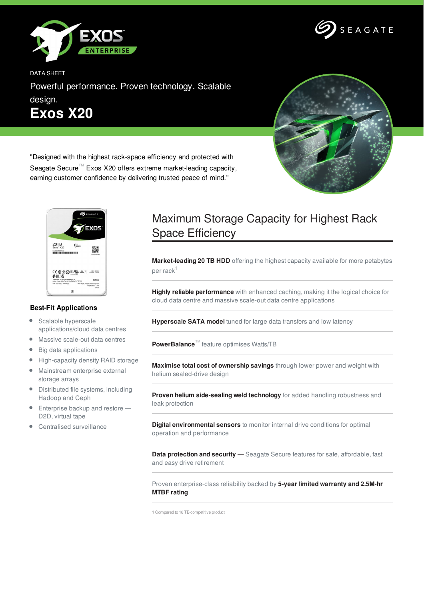



DATA SHEET

Powerful performance. Proven technology. Scalable design. **Exos X20**



"Designed with the highest rack-space efficiency and protected with Seagate Secure<sup>™</sup> Exos X20 offers extreme market-leading capacity, earning customer confidence by delivering trusted peace of mind."



## **Best-Fit Applications**

- $\bullet$ Scalable hyperscale applications/cloud data centres
- Massive scale-out data centres
- $\bullet$ Big data applications
- $\bullet$ High-capacity density RAID storage
- Mainstream enterprise external  $\bullet$ storage arrays
- Distributed file systems, including Hadoop and Ceph
- $\bullet$ Enterprise backup and restore — D2D, virtual tape
- Centralised surveillance

## Maximum Storage Capacity for Highest Rack Space Efficiency

**Market-leading 20 TB HDD** offering the highest capacity available for more petabytes per rack $^\mathrm{1}$ 

**Highly reliable performance** with enhanced caching, making it the logical choice for cloud data centre and massive scale-out data centre applications

**Hyperscale SATA model** tuned for large data transfers and low latency

**PowerBalance**™ feature optimises Watts/TB

**Maximise total cost of ownership savings** through lower power and weight with helium sealed-drive design

**Proven helium side-sealing weld technology** for added handling robustness and leak protection

**Digital environmental sensors** to monitor internal drive conditions for optimal operation and performance

**Data protection and security —** Seagate Secure features for safe, affordable, fast and easy drive retirement

Proven enterprise-class reliability backed by **5-year limited warranty and 2.5M-hr MTBF rating**

1 Compared to 18 TB competitive product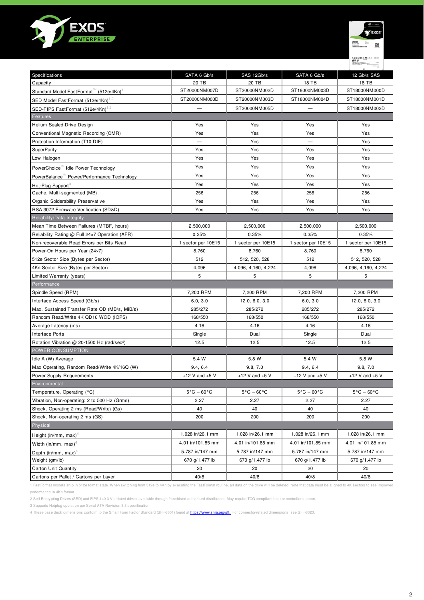



| Specifications                                          | SATA 6 Gb/s                     | SAS 12Gb/s                      | SATA 6 Gb/s                     | 12 Gb/s SAS                     |
|---------------------------------------------------------|---------------------------------|---------------------------------|---------------------------------|---------------------------------|
| Capacity                                                | 20 TB                           | 20 TB                           | 18 TB                           | 18 TB                           |
| Standard Model FastFormat™ (512e/4Kn)                   | ST20000NM007D                   | ST20000NM002D                   | ST18000NM003D                   | ST18000NM000D                   |
| SED Model FastFormat (512e/4Kn) <sup>1,2</sup>          | ST20000NM000D                   | ST20000NM003D                   | ST18000NM004D                   | ST18000NM001D                   |
| SED-FIPS FastFormat (512e/4Kn) <sup>1,2</sup>           |                                 | ST20000NM005D                   |                                 | ST18000NM002D                   |
| Features                                                |                                 |                                 |                                 |                                 |
| Helium Sealed-Drive Design                              | Yes                             | Yes                             | Yes                             | Yes                             |
| Conventional Magnetic Recording (CMR)                   | Yes                             | Yes                             | Yes                             | Yes                             |
| Protection Information (T10 DIF)                        |                                 | Yes                             |                                 | Yes                             |
| <b>SuperParity</b>                                      | Yes                             | Yes                             | Yes                             | Yes                             |
| Low Halogen                                             | Yes                             | Yes                             | Yes                             | Yes                             |
| PowerChoice didle Power Technology                      | Yes                             | Yes                             | Yes                             | Yes                             |
| PowerBalance "Power/Performance Technology              | Yes                             | Yes                             | Yes                             | Yes                             |
| Hot-Plug Support <sup>3</sup>                           | Yes                             | Yes                             | Yes                             | Yes                             |
| Cache, Multi-segmented (MB)                             | 256                             | 256                             | 256                             | 256                             |
| Organic Solderability Preservative                      | Yes                             | Yes                             | Yes                             | Yes                             |
| RSA 3072 Firmware Verification (SD&D)                   | Yes                             | Yes                             | Yes                             | Yes                             |
| Reliability/Data Integrity                              |                                 |                                 |                                 |                                 |
| Mean Time Between Failures (MTBF, hours)                | 2,500,000                       | 2,500,000                       | 2,500,000                       | 2,500,000                       |
| Reliability Rating @ Full 24×7 Operation (AFR)          | 0.35%                           | 0.35%                           | 0.35%                           | 0.35%                           |
| Non-recoverable Read Errors per Bits Read               | 1 sector per 10E15              | 1 sector per 10E15              | 1 sector per 10E15              | 1 sector per 10E15              |
| Power-On Hours per Year (24×7)                          | 8,760                           | 8,760                           | 8,760                           | 8,760                           |
| 512e Sector Size (Bytes per Sector)                     | 512                             | 512, 520, 528                   | 512                             | 512, 520, 528                   |
| 4Kn Sector Size (Bytes per Sector)                      | 4,096                           | 4,096, 4,160, 4,224             | 4,096                           | 4,096, 4,160, 4,224             |
| Limited Warranty (years)                                | 5                               | 5                               | 5                               | 5                               |
| Performance                                             |                                 |                                 |                                 |                                 |
| Spindle Speed (RPM)                                     | 7,200 RPM                       | 7,200 RPM                       | 7,200 RPM                       | 7,200 RPM                       |
| Interface Access Speed (Gb/s)                           | 6.0, 3.0                        | 12.0, 6.0, 3.0                  | 6.0, 3.0                        | 12.0, 6.0, 3.0                  |
| Max. Sustained Transfer Rate OD (MB/s, MiB/s)           | 285/272                         | 285/272                         | 285/272                         | 285/272                         |
| Random Read/Write 4K QD16 WCD (IOPS)                    | 168/550                         | 168/550                         | 168/550                         | 168/550                         |
| Average Latency (ms)                                    | 4.16                            | 4.16                            | 4.16                            | 4.16                            |
| Interface Ports                                         | Single                          | Dual                            | Single                          | Dual                            |
| Rotation Vibration @ 20-1500 Hz (rad/sec <sup>2</sup> ) | 12.5                            | 12.5                            | 12.5                            | 12.5                            |
| POWER CONSUMPTION                                       |                                 |                                 |                                 |                                 |
| Idle A (W) Average                                      | 5.4 W                           | 5.8 W                           | 5.4 W                           | 5.8 W                           |
| Max Operating, Random Read/Write 4K/16Q (W)             | 9.4, 6.4                        | 9.8, 7.0                        | 9.4, 6.4                        | 9.8, 7.0                        |
| Power Supply Requirements                               | +12 V and $+5$ V                | +12 V and $+5$ V                | +12 V and $+5$ V                | +12 V and $+5$ V                |
| Environmental                                           |                                 |                                 |                                 |                                 |
| Temperature, Operating (°C)                             | $5^{\circ}$ C - 60 $^{\circ}$ C | $5^{\circ}$ C - 60 $^{\circ}$ C | $5^{\circ}$ C – 60 $^{\circ}$ C | $5^{\circ}$ C – 60 $^{\circ}$ C |
| Vibration, Non-operating: 2 to 500 Hz (Grms)            | 2.27                            | 2.27                            | 2.27                            | 2.27                            |
| Shock, Operating 2 ms (Read/Write) (Gs)                 | 40                              | 40                              | 40                              | 40                              |
| Shock, Non-operating 2 ms (GS)                          | 200                             | 200                             | 200                             | 200                             |
| Physical                                                |                                 |                                 |                                 |                                 |
| Height (in/mm, max) <sup>4</sup>                        | 1.028 in/26.1 mm                | 1.028 in/26.1 mm                | 1.028 in/26.1 mm                | 1.028 in/26.1 mm                |
| Width (in/mm, max) <sup>4</sup>                         | 4.01 in/101.85 mm               | 4.01 in/101.85 mm               | 4.01 in/101.85 mm               | 4.01 in/101.85 mm               |
|                                                         | 5.787 in/147 mm                 | 5.787 in/147 mm                 | 5.787 in/147 mm                 | 5.787 in/147 mm                 |
| Depth (in/mm, max) <sup>4</sup><br>Weight (gm/lb)       | 670 g/1.477 lb                  | 670 g/1.477 lb                  | 670 g/1.477 lb                  | 670 g/1.477 lb                  |
| Carton Unit Quantity                                    | 20                              | 20                              | 20                              | 20                              |
| Cartons per Pallet / Cartons per Layer                  | 40/8                            | 40/8                            | 40/8                            | 40/8                            |
|                                                         |                                 |                                 |                                 |                                 |

1 FastFormat models ship in 512e format state. When switching from 512e to 4Kn by executing the FastFormat routine, all data on the drive will be deleted. Note that data must be aligned to 4K sectors to see improved performance in 4Kn format.

2 Self-Encrypting Drives (SED) and FIPS 140-3 Validated drives available through franchised authorised distributors. May require TCG-compliant host or controller support.

3 Supports Hotplug operation per Serial ATA Revision 3.3 specification

4 These base deck dimensions conform to the Small Form Factor Standard (SFF-8301) found at <https://www.snia.org/sff.>. For connector-related dimensions, see SFF-8323.